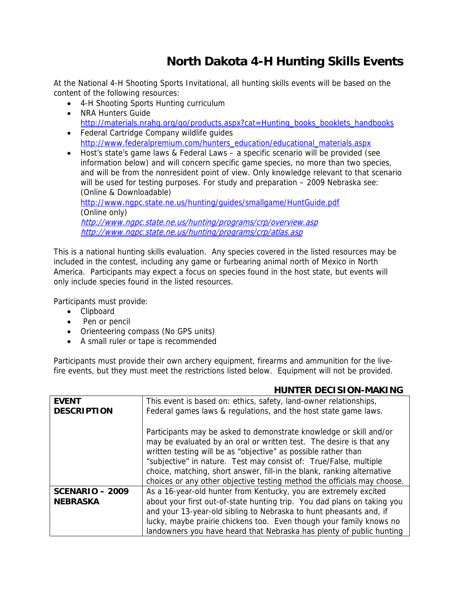## **North Dakota 4-H Hunting Skills Events**

At the National 4-H Shooting Sports Invitational, all hunting skills events will be based on the content of the following resources:

- 4-H Shooting Sports Hunting curriculum
- NRA Hunters Guide http://materials.nrahq.org/go/products.aspx?cat=Hunting\_books\_booklets\_handbooks
- Federal Cartridge Company wildlife guides http://www.federalpremium.com/hunters\_education/educational\_materials.aspx
- Host's state's game laws & Federal Laws a specific scenario will be provided (see information below) and will concern specific game species, no more than two species, and will be from the nonresident point of view. Only knowledge relevant to that scenario will be used for testing purposes. For study and preparation – 2009 Nebraska see: (Online & Downloadable) http://www.ngpc.state.ne.us/hunting/guides/smallgame/HuntGuide.pdf

(Online only) http://www.ngpc.state.ne.us/hunting/programs/crp/overview.asp http://www.ngpc.state.ne.us/hunting/programs/crp/atlas.asp

This is a national hunting skills evaluation. Any species covered in the listed resources may be included in the contest, including any game or furbearing animal north of Mexico in North America. Participants may expect a focus on species found in the host state, but events will only include species found in the listed resources.

Participants must provide:

- Clipboard
- Pen or pencil
- Orienteering compass (No GPS units)
- A small ruler or tape is recommended

Participants must provide their own archery equipment, firearms and ammunition for the livefire events, but they must meet the restrictions listed below. Equipment will not be provided.

## **HUNTER DECISION-MAKING**

| <b>EVENT</b>       | This event is based on: ethics, safety, land-owner relationships,       |
|--------------------|-------------------------------------------------------------------------|
| <b>DESCRIPTION</b> | Federal games laws & regulations, and the host state game laws.         |
|                    |                                                                         |
|                    | Participants may be asked to demonstrate knowledge or skill and/or      |
|                    | may be evaluated by an oral or written test. The desire is that any     |
|                    | written testing will be as "objective" as possible rather than          |
|                    | "subjective" in nature. Test may consist of: True/False, multiple       |
|                    | choice, matching, short answer, fill-in the blank, ranking alternative  |
|                    | choices or any other objective testing method the officials may choose. |
| $SCENARIO - 2009$  | As a 16-year-old hunter from Kentucky, you are extremely excited        |
| <b>NEBRASKA</b>    | about your first out-of-state hunting trip. You dad plans on taking you |
|                    | and your 13-year-old sibling to Nebraska to hunt pheasants and, if      |
|                    | lucky, maybe prairie chickens too. Even though your family knows no     |
|                    | landowners you have heard that Nebraska has plenty of public hunting    |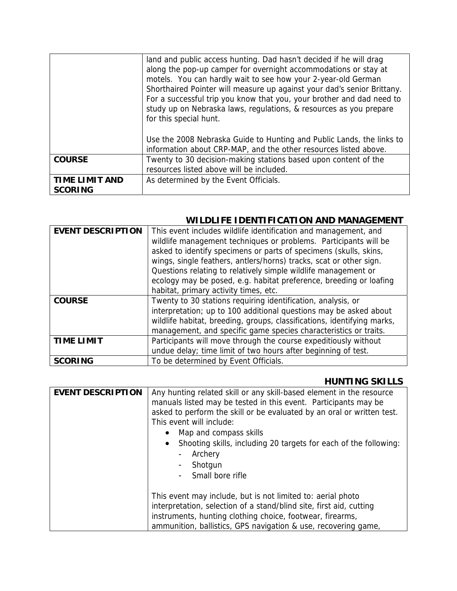|                                         | land and public access hunting. Dad hasn't decided if he will drag<br>along the pop-up camper for overnight accommodations or stay at<br>motels. You can hardly wait to see how your 2-year-old German<br>Shorthaired Pointer will measure up against your dad's senior Brittany.<br>For a successful trip you know that you, your brother and dad need to<br>study up on Nebraska laws, regulations, & resources as you prepare<br>for this special hunt.<br>Use the 2008 Nebraska Guide to Hunting and Public Lands, the links to |
|-----------------------------------------|-------------------------------------------------------------------------------------------------------------------------------------------------------------------------------------------------------------------------------------------------------------------------------------------------------------------------------------------------------------------------------------------------------------------------------------------------------------------------------------------------------------------------------------|
|                                         | information about CRP-MAP, and the other resources listed above.                                                                                                                                                                                                                                                                                                                                                                                                                                                                    |
| <b>COURSE</b>                           | Twenty to 30 decision-making stations based upon content of the<br>resources listed above will be included.                                                                                                                                                                                                                                                                                                                                                                                                                         |
| <b>TIME LIMIT AND</b><br><b>SCORING</b> | As determined by the Event Officials.                                                                                                                                                                                                                                                                                                                                                                                                                                                                                               |

## **WILDLIFE IDENTIFICATION AND MANAGEMENT**

| <b>EVENT DESCRIPTION</b>           | This event includes wildlife identification and management, and<br>wildlife management techniques or problems. Participants will be<br>asked to identify specimens or parts of specimens (skulls, skins,<br>wings, single feathers, antlers/horns) tracks, scat or other sign.<br>Questions relating to relatively simple wildlife management or<br>ecology may be posed, e.g. habitat preference, breeding or loafing<br>habitat, primary activity times, etc. |
|------------------------------------|-----------------------------------------------------------------------------------------------------------------------------------------------------------------------------------------------------------------------------------------------------------------------------------------------------------------------------------------------------------------------------------------------------------------------------------------------------------------|
| <b>COURSE</b><br><b>TIME LIMIT</b> | Twenty to 30 stations requiring identification, analysis, or<br>interpretation; up to 100 additional questions may be asked about<br>wildlife habitat, breeding, groups, classifications, identifying marks,<br>management, and specific game species characteristics or traits.<br>Participants will move through the course expeditiously without<br>undue delay; time limit of two hours after beginning of test.                                            |
| <b>SCORING</b>                     | To be determined by Event Officials.                                                                                                                                                                                                                                                                                                                                                                                                                            |

## **HUNTING SKILLS**

| <b>EVENT DESCRIPTION</b> | Any hunting related skill or any skill-based element in the resource<br>manuals listed may be tested in this event. Participants may be<br>asked to perform the skill or be evaluated by an oral or written test.<br>This event will include:<br>Map and compass skills<br>Shooting skills, including 20 targets for each of the following:<br>Archery<br>$\qquad \qquad \blacksquare$<br>Shotgun<br>$\qquad \qquad \blacksquare$<br>Small bore rifle<br>$\overline{\phantom{a}}$ |
|--------------------------|-----------------------------------------------------------------------------------------------------------------------------------------------------------------------------------------------------------------------------------------------------------------------------------------------------------------------------------------------------------------------------------------------------------------------------------------------------------------------------------|
|                          | This event may include, but is not limited to: aerial photo<br>interpretation, selection of a stand/blind site, first aid, cutting<br>instruments, hunting clothing choice, footwear, firearms,<br>ammunition, ballistics, GPS navigation & use, recovering game,                                                                                                                                                                                                                 |